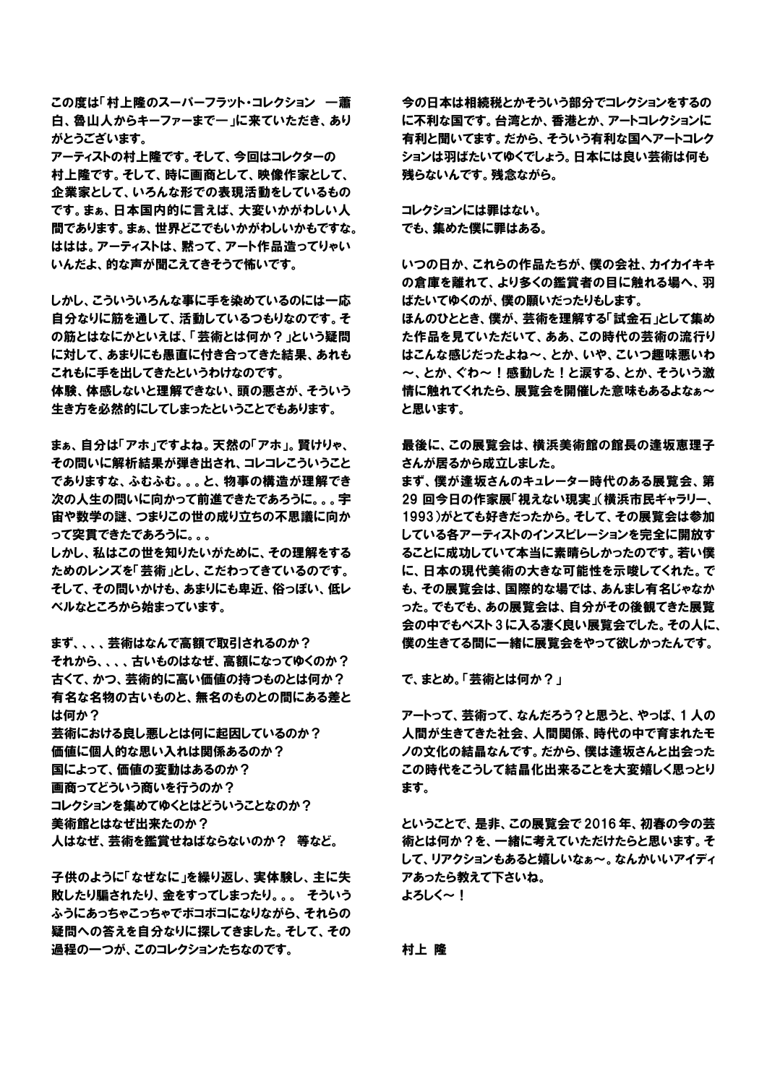この度は「村上隆のスーパーフラット・コレクション ―蕭 白、魯山人からキーファーまで―」に来ていただき、あり がとうございます。

アーティストの村上隆です。そして、今回はコレクターの 村上隆です。そして、時に画商として、映像作家として、 企業家として、いろんな形での表現活動をしているもの です。まぁ、日本国内的に言えば、大変いかがわしい人 間であります。まぁ、世界どこでもいかがわしいかもですな。 ははは。アーティストは、黙って、アート作品造ってりゃい いんだよ、的な声が聞こえてきそうで怖いです。

しかし、こういういろんな事に手を染めているのには一応 自分なりに筋を通して、活動しているつもりなのです。そ の筋とはなにかといえば、「芸術とは何か?」という疑問 に対して、あまりにも愚直に付き合ってきた結果、あれも これもに手を出してきたというわけなのです。

体験、体感しないと理解できない、頭の悪さが、そういう 生き方を必然的にしてしまったということでもあります。

まぁ、自分は「アホ」ですよね。天然の「アホ」。賢けりゃ、 その問いに解析結果が弾き出され、コレコレこういうこと でありますな、ふむふむ。。。と、物事の構造が理解でき 次の人生の問いに向かって前進できたであろうに。。。宇 宙や数学の謎、つまりこの世の成り立ちの不思議に向か って突貫できたであろうに。。。

しかし、私はこの世を知りたいがために、その理解をする ためのレンズを「芸術」とし、こだわってきているのです。 そして、その問いかけも、あまりにも卑近、俗っぽい、低レ ベルなところから始まっています。

まず、、、、芸術はなんで高額で取引されるのか? それから、、、、古いものはなぜ、高額になってゆくのか? 古くて、かつ、芸術的に高い価値の持つものとは何か? 有名な名物の古いものと、無名のものとの間にある差と は何か?

芸術における良し悪しとは何に起因しているのか? 価値に個人的な思い入れは関係あるのか? 国によって、価値の変動はあるのか? 画商ってどういう商いを行うのか? コレクションを集めてゆくとはどういうことなのか? 美術館とはなぜ出来たのか? 人はなぜ、芸術を鑑賞せねばならないのか? 等など。

子供のように「なぜなに」を繰り返し、実体験し、主に失 敗したり騙されたり、金をすってしまったり。。。 そういう ふうにあっちゃこっちゃでボコボコになりながら、それらの 疑問への答えを自分なりに探してきました。そして、その 過程の一つが、このコレクションたちなのです。

今の日本は相続税とかそういう部分でコレクションをするの に不利な国です。台湾とか、香港とか、アートコレクションに 有利と聞いてます。だから、そういう有利な国へアートコレク ションは羽ばたいてゆくでしょう。日本には良い芸術は何も 残らないんです。残念ながら。

コレクションには罪はない。 でも、集めた僕に罪はある。

いつの日か、これらの作品たちが、僕の会社、カイカイキキ の倉庫を離れて、より多くの鑑賞者の目に触れる場へ、羽 ばたいてゆくのが、僕の願いだったりもします。 ほんのひととき、僕が、芸術を理解する「試金石」として集め た作品を見ていただいて、ああ、この時代の芸術の流行り はこんな感じだったよね~、とか、いや、こいつ趣味悪いわ ~、とか、ぐわ~!感動した!と涙する、とか、そういう激 情に触れてくれたら、展覧会を開催した意味もあるよなぁ~ と思います。

最後に、この展覧会は、横浜美術館の館長の逢坂恵理子 さんが居るから成立しました。

まず、僕が逢坂さんのキュレーター時代のある展覧会、第 29 回今日の作家展「視えない現実」(横浜市民ギャラリー、 1993)がとても好きだったから。そして、その展覧会は参加 している各アーティストのインスピレーションを完全に開放す ることに成功していて本当に素晴らしかったのです。若い僕 に、日本の現代美術の大きな可能性を示唆してくれた。で も、その展覧会は、国際的な場では、あんまし有名じゃなか った。でもでも、あの展覧会は、自分がその後観てきた展覧 会の中でもベスト 3 に入る凄く良い展覧会でした。その人に、 僕の生きてる間に一緒に展覧会をやって欲しかったんです。

で、まとめ。「芸術とは何か?」

アートって、芸術って、なんだろう?と思うと、やっぱ、1 人の 人間が生きてきた社会、人間関係、時代の中で育まれたモ ノの文化の結晶なんです。だから、僕は逢坂さんと出会った この時代をこうして結晶化出来ることを大変嬉しく思っとり ます。

ということで、是非、この展覧会で 2016 年、初春の今の芸 術とは何か?を、一緒に考えていただけたらと思います。そ して、リアクションもあると嬉しいなぁ~。なんかいいアイディ アあったら教えて下さいね。 よろしく~!

村上 隆